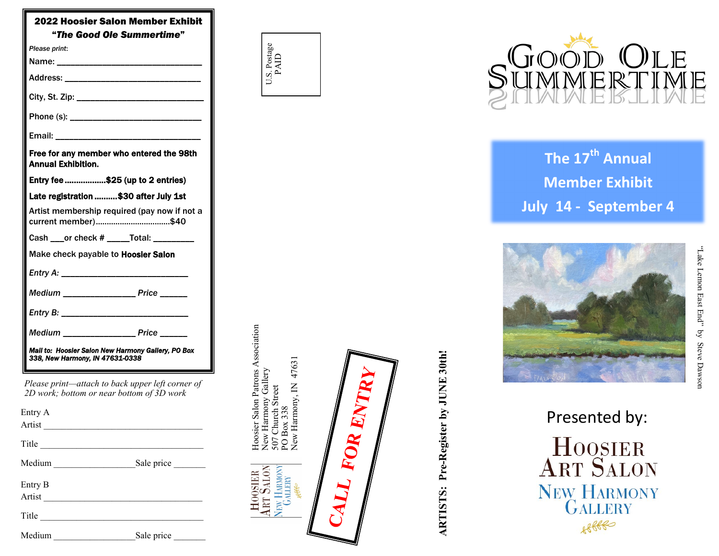| 2022 Hoosier Salon Member Exhibit<br>"The Good Ole Summertime"                        |                                                                                               |  |  |
|---------------------------------------------------------------------------------------|-----------------------------------------------------------------------------------------------|--|--|
| Please print:                                                                         |                                                                                               |  |  |
|                                                                                       |                                                                                               |  |  |
|                                                                                       |                                                                                               |  |  |
|                                                                                       |                                                                                               |  |  |
|                                                                                       |                                                                                               |  |  |
|                                                                                       |                                                                                               |  |  |
| Free for any member who entered the 98th<br><b>Annual Exhibition.</b>                 |                                                                                               |  |  |
| Entry fee \$25 (up to 2 entries)                                                      |                                                                                               |  |  |
| Late registration \$30 after July 1st                                                 |                                                                                               |  |  |
| Artist membership required (pay now if not a<br>current member)\$40                   |                                                                                               |  |  |
|                                                                                       | Cash ____or check # ______Total: _________                                                    |  |  |
| Make check payable to Hoosier Salon                                                   |                                                                                               |  |  |
|                                                                                       |                                                                                               |  |  |
|                                                                                       | Medium __________________ Price ______                                                        |  |  |
|                                                                                       |                                                                                               |  |  |
|                                                                                       | Medium _________________ Price ______                                                         |  |  |
| Mall to: Hoosler Salon New Harmony Gallery, PO Box<br>338, New Harmony, IN 47631-0338 |                                                                                               |  |  |
|                                                                                       | Please print—attach to back upper left corner of<br>2D work; bottom or near bottom of 3D work |  |  |
| Entry A                                                                               |                                                                                               |  |  |
|                                                                                       |                                                                                               |  |  |
|                                                                                       | Title                                                                                         |  |  |
| Medium ___________________________Sale price ___________________________________      |                                                                                               |  |  |
| Entry B                                                                               |                                                                                               |  |  |
|                                                                                       |                                                                                               |  |  |
|                                                                                       | Title                                                                                         |  |  |
| Medium                                                                                | Sale price                                                                                    |  |  |

| J.S. Postage<br>പ് |  |
|--------------------|--|

Hoosier Salon Patrons Association

New Harmony Gallery 507 Church Street

**HOOSIER**<br>**ART SALON**<br>New HARMONI

Hoosier Salon Patrons Association<br>New Harmony Gallery<br>507 Church Street<br>PO Box 338<br>New Harmony, IN 47631

New Harmony, IN 47631

H

FOR ENTRY



# **The 17th Annual Member Exhibit July 14 - September 4**



**ARTISTS: Pre-Register by JUNE 30th!**

ARTISTS: Pre-Register by JUNE 30th!

"

Presented by: HOOSIER<br>ART SALON NEW HARMONY<br>GALLERY  $88880$